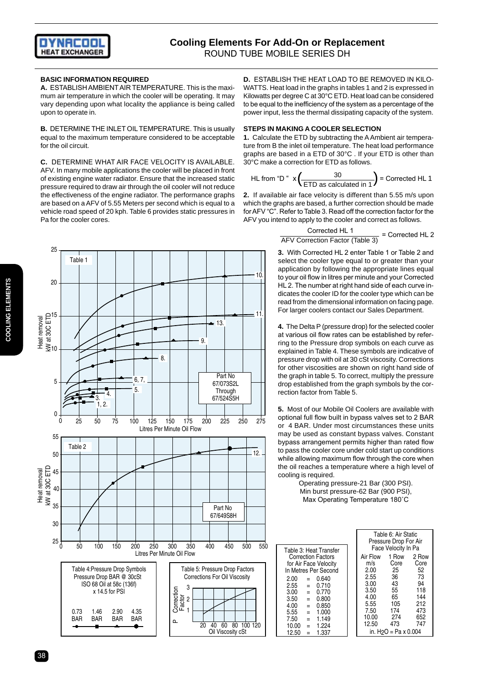

### **BASIC INFORMATION REQUIRED**

**A.** ESTABLISH AMBIENT AIR TEMPERATURE. This is the maximum air temperature in which the cooler will be operating. It may vary depending upon what locality the appliance is being called upon to operate in.

**B.** DETERMINE THE INLET OIL TEMPERATURE. This is usually equal to the maximum temperature considered to be acceptable for the oil circuit.

**C.** DETERMINE WHAT AIR FACE VELOCITY IS AVAILABLE. AFV. In many mobile applications the cooler will be placed in front of existing engine water radiator. Ensure that the increased static pressure required to draw air through the oil cooler will not reduce the effectiveness of the engine radiator. The performance graphs are based on a AFV of 5.55 Meters per second which is equal to a vehicle road speed of 20 kph. Table 6 provides static pressures in Pa for the cooler cores.

**D.** ESTABLISH THE HEAT LOAD TO BE REMOVED IN KILO-WATTS. Heat load in the graphs in tables 1 and 2 is expressed in Kilowatts per degree C at 30°C ETD. Heat load can be considered to be equal to the inefficiency of the system as a percentage of the power input, less the thermal dissipating capacity of the system.

#### **STEPS IN MAKING A COOLER SELECTION**

**1.** Calculate the ETD by subtracting the A Ambient air temperature from B the inlet oil temperature. The heat load performance graphs are based in a ETD of 30°C . If your ETD is other than 30°C make a correction for ETD as follows.

HL from "D" 
$$
x \left( \frac{30}{\text{ETD as calculated in 1}} \right) = \text{Corrected HL 1}
$$

**2.** If available air face velocity is different than 5.55 m/s upon which the graphs are based, a further correction should be made for AFV "C". Refer to Table 3. Read off the correction factor for the AFV you intend to apply to the cooler and correct as follows.

$$
\frac{\text{Corrected HL 1}}{\text{AFV Correction Factor (Table 3)}} = \text{Corrected HL 2}
$$

**3.** With Corrected HL 2 enter Table 1 or Table 2 and select the cooler type equal to or greater than your application by following the appropriate lines equal to your oil flow in litres per minute and your Corrected HL 2. The number at right hand side of each curve indicates the cooler ID for the cooler type which can be read from the dimensional information on facing page. For larger coolers contact our Sales Department.

**4.** The Delta P (pressure drop) for the selected cooler at various oil flow rates can be established by referring to the Pressure drop symbols on each curve as explained in Table 4. These symbols are indicative of pressure drop with oil at 30 cSt viscosity. Corrections for other viscosities are shown on right hand side of the graph in table 5. To correct, multiply the pressure drop established from the graph symbols by the correction factor from Table 5.

**5.** Most of our Mobile Oil Coolers are available with optional full flow built in bypass valves set to 2 BAR or 4 BAR. Under most circumstances these units may be used as constant bypass valves. Constant bypass arrangement permits higher than rated flow to pass the cooler core under cold start up conditions while allowing maximum flow through the core when the oil reaches a temperature where a high level of cooling is required.

Operating pressure-21 Bar (300 PSI). Min burst pressure-62 Bar (900 PSI), Max Operating Temperature 180˚C

|       |     |                           | Table 6: Air Static<br>Pressure Drop For Air |                                   |       |  |  |  |
|-------|-----|---------------------------|----------------------------------------------|-----------------------------------|-------|--|--|--|
|       |     | Table 3: Heat Transfer    | Face Velocity In Pa                          |                                   |       |  |  |  |
|       |     | <b>Correction Factors</b> | Air Flow                                     | 1 Row                             | 2 Row |  |  |  |
|       |     | for Air Face Velocity     | m/s                                          | Core                              | Core  |  |  |  |
|       |     | In Metres Per Second      | 2.00                                         | 25                                | 52    |  |  |  |
| 2.00  | $=$ | 0.640                     | 2.55                                         | 36                                | 73    |  |  |  |
| 2.55  | $=$ | 0.710                     | 3.00                                         | 43                                | 94    |  |  |  |
| 3.00  | $=$ | 0.770                     | 3.50                                         | 55                                | 118   |  |  |  |
| 3.50  | $=$ | 0.800                     | 4.00                                         | 65                                | 144   |  |  |  |
| 4.00  | $=$ | 0.850                     | 5.55                                         | 105                               | 212   |  |  |  |
| 5.55  | $=$ | 1.000                     | 7.50                                         | 174                               | 473   |  |  |  |
| 7.50  | $=$ | 1.149                     | 10.00                                        | 274                               | 652   |  |  |  |
| 10.00 | $=$ | 1.224                     | 12.50                                        | 473                               | 747   |  |  |  |
| 12.50 | $=$ | 1.337                     |                                              | in. H <sub>2</sub> O = Pa x 0.004 |       |  |  |  |





38 and the state of the state of the state of the state of the state of the state of the state of the state of the state of the state of the state of the state of the state of the state of the state of the state of the sta